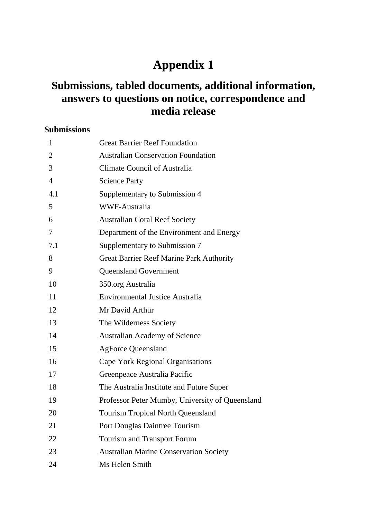# **Appendix 1**

## **Submissions, tabled documents, additional information, answers to questions on notice, correspondence and media release**

### **Submissions**

| $\mathbf{1}$   | <b>Great Barrier Reef Foundation</b>            |
|----------------|-------------------------------------------------|
| $\overline{2}$ | <b>Australian Conservation Foundation</b>       |
| 3              | Climate Council of Australia                    |
| $\overline{4}$ | <b>Science Party</b>                            |
| 4.1            | Supplementary to Submission 4                   |
| 5              | <b>WWF-Australia</b>                            |
| 6              | <b>Australian Coral Reef Society</b>            |
| 7              | Department of the Environment and Energy        |
| 7.1            | Supplementary to Submission 7                   |
| 8              | <b>Great Barrier Reef Marine Park Authority</b> |
| 9              | <b>Queensland Government</b>                    |
| 10             | 350.org Australia                               |
| 11             | <b>Environmental Justice Australia</b>          |
| 12             | Mr David Arthur                                 |
| 13             | The Wilderness Society                          |
| 14             | <b>Australian Academy of Science</b>            |
| 15             | <b>AgForce Queensland</b>                       |
| 16             | Cape York Regional Organisations                |
| 17             | Greenpeace Australia Pacific                    |
| 18             | The Australia Institute and Future Super        |
| 19             | Professor Peter Mumby, University of Queensland |
| 20             | <b>Tourism Tropical North Queensland</b>        |
| 21             | Port Douglas Daintree Tourism                   |
| 22             | Tourism and Transport Forum                     |
| 23             | <b>Australian Marine Conservation Society</b>   |
| 24             | Ms Helen Smith                                  |
|                |                                                 |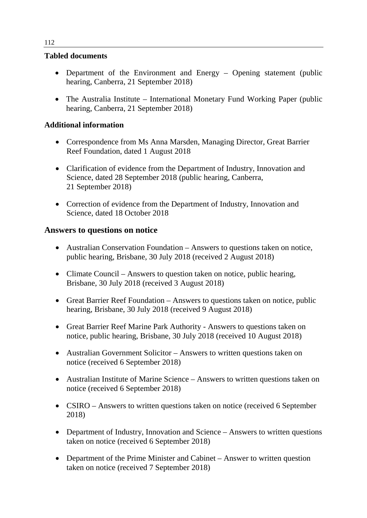#### **Tabled documents**

- Department of the Environment and Energy Opening statement (public hearing, Canberra, 21 September 2018)
- The Australia Institute International Monetary Fund Working Paper (public hearing, Canberra, 21 September 2018)

#### **Additional information**

- Correspondence from Ms Anna Marsden, Managing Director, Great Barrier Reef Foundation, dated 1 August 2018
- Clarification of evidence from the Department of Industry, Innovation and Science, dated 28 September 2018 (public hearing, Canberra, 21 September 2018)
- Correction of evidence from the Department of Industry, Innovation and Science, dated 18 October 2018

#### **Answers to questions on notice**

- Australian Conservation Foundation Answers to questions taken on notice, public hearing, Brisbane, 30 July 2018 (received 2 August 2018)
- Climate Council Answers to question taken on notice, public hearing, Brisbane, 30 July 2018 (received 3 August 2018)
- Great Barrier Reef Foundation Answers to questions taken on notice, public hearing, Brisbane, 30 July 2018 (received 9 August 2018)
- Great Barrier Reef Marine Park Authority Answers to questions taken on notice, public hearing, Brisbane, 30 July 2018 (received 10 August 2018)
- Australian Government Solicitor Answers to written questions taken on notice (received 6 September 2018)
- Australian Institute of Marine Science Answers to written questions taken on notice (received 6 September 2018)
- CSIRO Answers to written questions taken on notice (received 6 September 2018)
- Department of Industry, Innovation and Science Answers to written questions taken on notice (received 6 September 2018)
- Department of the Prime Minister and Cabinet Answer to written question taken on notice (received 7 September 2018)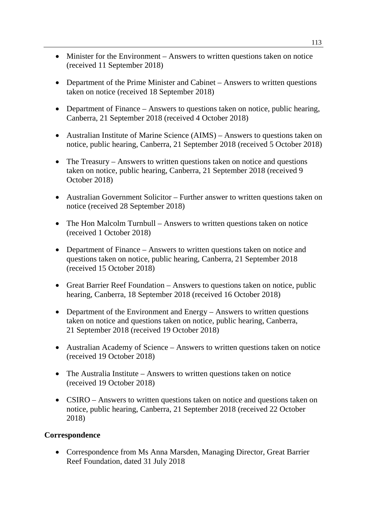- Minister for the Environment Answers to written questions taken on notice (received 11 September 2018)
- Department of the Prime Minister and Cabinet Answers to written questions taken on notice (received 18 September 2018)
- Department of Finance Answers to questions taken on notice, public hearing, Canberra, 21 September 2018 (received 4 October 2018)
- Australian Institute of Marine Science (AIMS) Answers to questions taken on notice, public hearing, Canberra, 21 September 2018 (received 5 October 2018)
- The Treasury Answers to written questions taken on notice and questions taken on notice, public hearing, Canberra, 21 September 2018 (received 9 October 2018)
- Australian Government Solicitor Further answer to written questions taken on notice (received 28 September 2018)
- The Hon Malcolm Turnbull Answers to written questions taken on notice (received 1 October 2018)
- Department of Finance Answers to written questions taken on notice and questions taken on notice, public hearing, Canberra, 21 September 2018 (received 15 October 2018)
- Great Barrier Reef Foundation Answers to questions taken on notice, public hearing, Canberra, 18 September 2018 (received 16 October 2018)
- Department of the Environment and Energy Answers to written questions taken on notice and questions taken on notice, public hearing, Canberra, 21 September 2018 (received 19 October 2018)
- Australian Academy of Science Answers to written questions taken on notice (received 19 October 2018)
- The Australia Institute Answers to written questions taken on notice (received 19 October 2018)
- CSIRO Answers to written questions taken on notice and questions taken on notice, public hearing, Canberra, 21 September 2018 (received 22 October 2018)

#### **Correspondence**

• Correspondence from Ms Anna Marsden, Managing Director, Great Barrier Reef Foundation, dated 31 July 2018